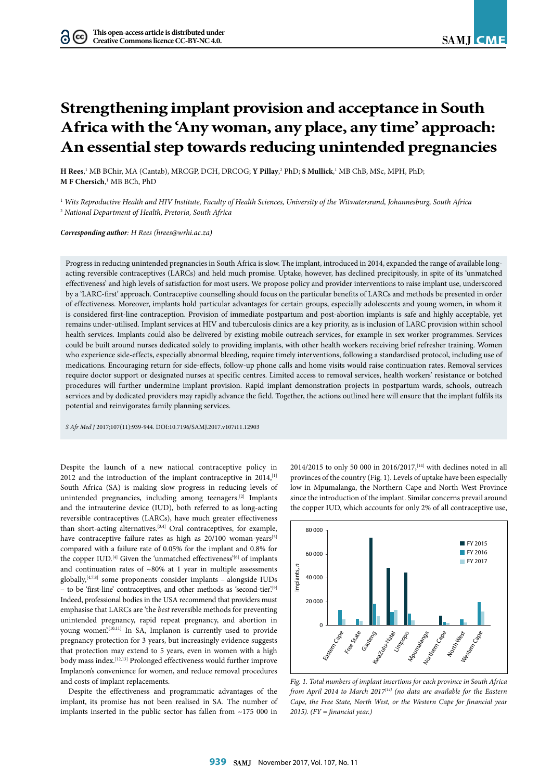# **Strengthening implant provision and acceptance in South Africa with the 'Any woman, any place, any time' approach: An essential step towards reducing unintended pregnancies**

**H Rees**,<sup>1</sup> MB BChir, MA (Cantab), MRCGP, DCH, DRCOG; **Y Pillay**,<sup>2</sup> PhD; **S Mullick**,<sup>1</sup> MB ChB, MSc, MPH, PhD; **M F Chersich**, 1 MB BCh, PhD

<sup>1</sup> *Wits Reproductive Health and HIV Institute, Faculty of Health Sciences, University of the Witwatersrand, Johannesburg, South Africa* <sup>2</sup> *National Department of Health, Pretoria, South Africa*

*Corresponding author: H Rees (hrees@wrhi.ac.za)*

Progress in reducing unintended pregnancies in South Africa is slow. The implant, introduced in 2014, expanded the range of available longacting reversible contraceptives (LARCs) and held much promise. Uptake, however, has declined precipitously, in spite of its 'unmatched effectiveness' and high levels of satisfaction for most users. We propose policy and provider interventions to raise implant use, underscored by a 'LARC-first' approach. Contraceptive counselling should focus on the particular benefits of LARCs and methods be presented in order of effectiveness. Moreover, implants hold particular advantages for certain groups, especially adolescents and young women, in whom it is considered first-line contraception. Provision of immediate postpartum and post-abortion implants is safe and highly acceptable, yet remains under-utilised. Implant services at HIV and tuberculosis clinics are a key priority, as is inclusion of LARC provision within school health services. Implants could also be delivered by existing mobile outreach services, for example in sex worker programmes. Services could be built around nurses dedicated solely to providing implants, with other health workers receiving brief refresher training. Women who experience side-effects, especially abnormal bleeding, require timely interventions, following a standardised protocol, including use of medications. Encouraging return for side-effects, follow-up phone calls and home visits would raise continuation rates. Removal services require doctor support or designated nurses at specific centres. Limited access to removal services, health workers' resistance or botched procedures will further undermine implant provision. Rapid implant demonstration projects in postpartum wards, schools, outreach services and by dedicated providers may rapidly advance the field. Together, the actions outlined here will ensure that the implant fulfils its potential and reinvigorates family planning services.

*S Afr Med J* 2017;107(11):939-944. DOI:10.7196/SAMJ.2017.v107i11.12903

Despite the launch of a new national contraceptive policy in 2012 and the introduction of the implant contraceptive in 2014,<sup>[1]</sup> South Africa (SA) is making slow progress in reducing levels of unintended pregnancies, including among teenagers.<sup>[2]</sup> Implants and the intrauterine device (IUD), both referred to as long-acting reversible contraceptives (LARCs), have much greater effectiveness than short-acting alternatives.[3,4] Oral contraceptives, for example, have contraceptive failure rates as high as 20/100 woman-years<sup>[5]</sup> compared with a failure rate of 0.05% for the implant and 0.8% for the copper IUD.<sup>[4]</sup> Given the 'unmatched effectiveness'<sup>[6]</sup> of implants and continuation rates of  $~80\%$  at 1 year in multiple assessments globally,[4,7,8] some proponents consider implants – alongside IUDs – to be 'first-line' contraceptives, and other methods as 'second-tier'.[9] Indeed, professional bodies in the USA recommend that providers must emphasise that LARCs are 'the *best* reversible methods for preventing unintended pregnancy, rapid repeat pregnancy, and abortion in young women'.<sup>[10,11]</sup> In SA, Implanon is currently used to provide pregnancy protection for 3 years, but increasingly evidence suggests that protection may extend to 5 years, even in women with a high body mass index.<sup>[12,13]</sup> Prolonged effectiveness would further improve Implanon's convenience for women, and reduce removal procedures and costs of implant replacements.

Despite the effectiveness and programmatic advantages of the implant, its promise has not been realised in SA. The number of implants inserted in the public sector has fallen from ~175 000 in

2014/2015 to only 50 000 in 2016/2017,<sup>[14]</sup> with declines noted in all provinces of the country (Fig. 1). Levels of uptake have been especially low in Mpumalanga, the Northern Cape and North West Province since the introduction of the implant. Similar concerns prevail around the copper IUD, which accounts for only 2% of all contraceptive use,



*Fig. 1. Total numbers of implant insertions for each province in South Africa from April 2014 to March 2017[14] (no data are available for the Eastern Cape, the Free State, North West, or the Western Cape for financial year 2015). (FY = financial year.)*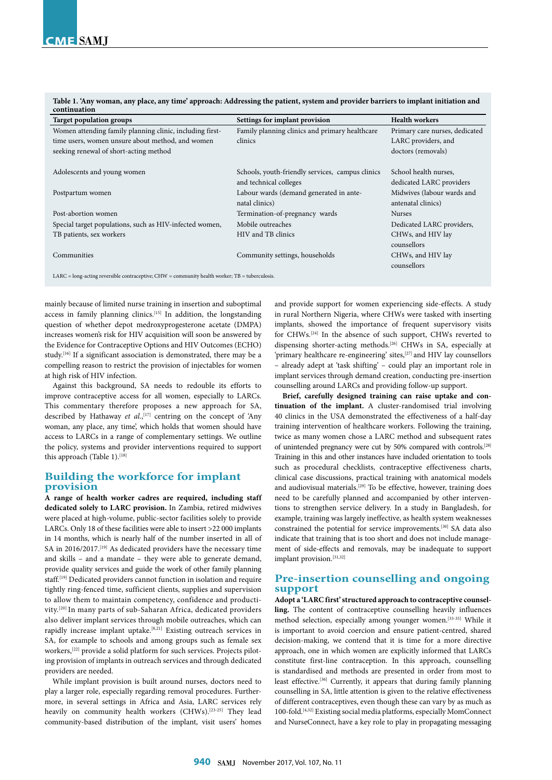| Table 1. 'Any woman, any place, any time' approach: Addressing the patient, system and provider barriers to implant initiation and |  |
|------------------------------------------------------------------------------------------------------------------------------------|--|
| continuation                                                                                                                       |  |

| <b>Target population groups</b>                                                                | Settings for implant provision                   | <b>Health workers</b>          |  |
|------------------------------------------------------------------------------------------------|--------------------------------------------------|--------------------------------|--|
| Women attending family planning clinic, including first-                                       | Family planning clinics and primary healthcare   | Primary care nurses, dedicated |  |
| time users, women unsure about method, and women                                               | clinics                                          | LARC providers, and            |  |
| seeking renewal of short-acting method                                                         |                                                  | doctors (removals)             |  |
| Adolescents and young women                                                                    | Schools, youth-friendly services, campus clinics | School health nurses.          |  |
|                                                                                                | and technical colleges                           | dedicated LARC providers       |  |
| Postpartum women                                                                               | Labour wards (demand generated in ante-          | Midwives (labour wards and     |  |
|                                                                                                | natal clinics)                                   | antenatal clinics)             |  |
| Post-abortion women                                                                            | Termination-of-pregnancy wards                   | <b>Nurses</b>                  |  |
| Special target populations, such as HIV-infected women,                                        | Mobile outreaches                                | Dedicated LARC providers,      |  |
| TB patients, sex workers                                                                       | HIV and TB clinics                               | CHWs, and HIV lay              |  |
|                                                                                                |                                                  | counsellors                    |  |
| Communities                                                                                    | Community settings, households                   | CHWs, and HIV lay              |  |
|                                                                                                |                                                  | counsellors                    |  |
| $LARC = long-acting reversible contractive; CHW = community health worker; TB = tuberculosis.$ |                                                  |                                |  |

mainly because of limited nurse training in insertion and suboptimal access in family planning clinics.[15] In addition, the longstanding question of whether depot medroxyprogesterone acetate (DMPA) increases women's risk for HIV acquisition will soon be answered by the Evidence for Contraceptive Options and HIV Outcomes (ECHO) study.<sup>[16]</sup> If a significant association is demonstrated, there may be a compelling reason to restrict the provision of injectables for women at high risk of HIV infection.

Against this background, SA needs to redouble its efforts to improve contraceptive access for all women, especially to LARCs. This commentary therefore proposes a new approach for SA, described by Hathaway *et al.*, [17] centring on the concept of 'Any woman, any place, any time', which holds that women should have access to LARCs in a range of complementary settings. We outline the policy, systems and provider interventions required to support this approach (Table 1).<sup>[18]</sup>

### **Building the workforce for implant provision**

**A range of health worker cadres are required, including staff dedicated solely to LARC provision.** In Zambia, retired midwives were placed at high-volume, public-sector facilities solely to provide LARCs. Only 18 of these facilities were able to insert >22 000 implants in 14 months, which is nearly half of the number inserted in all of SA in 2016/2017.<sup>[19]</sup> As dedicated providers have the necessary time and skills – and a mandate – they were able to generate demand, provide quality services and guide the work of other family planning staff.[19] Dedicated providers cannot function in isolation and require tightly ring-fenced time, sufficient clients, supplies and supervision to allow them to maintain competency, confidence and productivity.[20] In many parts of sub-Saharan Africa, dedicated providers also deliver implant services through mobile outreaches, which can rapidly increase implant uptake.<sup>[8,21]</sup> Existing outreach services in SA, for example to schools and among groups such as female sex workers,<sup>[22]</sup> provide a solid platform for such services. Projects piloting provision of implants in outreach services and through dedicated providers are needed.

While implant provision is built around nurses, doctors need to play a larger role, especially regarding removal procedures. Furthermore, in several settings in Africa and Asia, LARC services rely heavily on community health workers (CHWs).<sup>[23-25]</sup> They lead community-based distribution of the implant, visit users' homes

and provide support for women experiencing side-effects. A study in rural Northern Nigeria, where CHWs were tasked with inserting implants, showed the importance of frequent supervisory visits for CHWs.[24] In the absence of such support, CHWs reverted to dispensing shorter-acting methods.[26] CHWs in SA, especially at 'primary healthcare re-engineering' sites,<sup>[27]</sup> and HIV lay counsellors – already adept at 'task shifting' – could play an important role in implant services through demand creation, conducting pre-insertion counselling around LARCs and providing follow-up support.

**Brief, carefully designed training can raise uptake and continuation of the implant.** A cluster-randomised trial involving 40 clinics in the USA demonstrated the effectiveness of a half-day training intervention of healthcare workers. Following the training, twice as many women chose a LARC method and subsequent rates of unintended pregnancy were cut by 50% compared with controls.[28] Training in this and other instances have included orientation to tools such as procedural checklists, contraceptive effectiveness charts, clinical case discussions, practical training with anatomical models and audiovisual materials.<sup>[29]</sup> To be effective, however, training does need to be carefully planned and accompanied by other interventions to strengthen service delivery. In a study in Bangladesh, for example, training was largely ineffective, as health system weaknesses constrained the potential for service improvements.[30] SA data also indicate that training that is too short and does not include management of side-effects and removals, may be inadequate to support implant provision.<sup>[31,32]</sup>

# **Pre-insertion counselling and ongoing support**

**Adopt a 'LARC first' structured approach to contraceptive counselling.** The content of contraceptive counselling heavily influences method selection, especially among younger women.[33-35] While it is important to avoid coercion and ensure patient-centred, shared decision-making, we contend that it is time for a more directive approach, one in which women are explicitly informed that LARCs constitute first-line contraception. In this approach, counselling is standardised and methods are presented in order from most to least effective.<sup>[36]</sup> Currently, it appears that during family planning counselling in SA, little attention is given to the relative effectiveness of different contraceptives, even though these can vary by as much as 100-fold.[4,32] Existing social media platforms, especially MomConnect and NurseConnect, have a key role to play in propagating messaging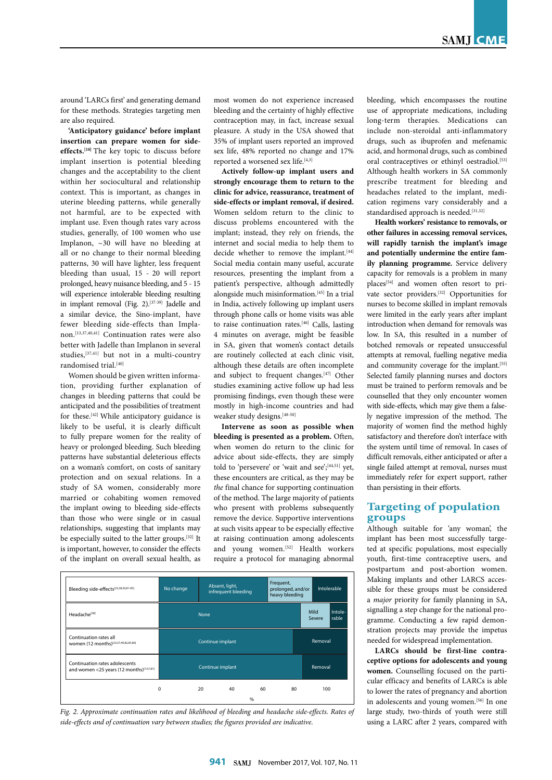around 'LARCs first' and generating demand for these methods. Strategies targeting men are also required.

**'Anticipatory guidance' before implant insertion can prepare women for sideeffects.[18]** The key topic to discuss before implant insertion is potential bleeding changes and the acceptability to the client within her sociocultural and relationship context. This is important, as changes in uterine bleeding patterns, while generally not harmful, are to be expected with implant use. Even though rates vary across studies, generally, of 100 women who use Implanon, ~30 will have no bleeding at all or no change to their normal bleeding patterns, 30 will have lighter, less frequent bleeding than usual, 15 - 20 will report prolonged, heavy nuisance bleeding, and 5 - 15 will experience intolerable bleeding resulting in implant removal (Fig. 2).[37-39] Jadelle and a similar device, the Sino-implant, have fewer bleeding side-effects than Implanon.[13,37,40,41] Continuation rates were also better with Jadelle than Implanon in several studies,[37,41] but not in a multi-country randomised trial.<sup>[40]</sup>

Women should be given written information, providing further explanation of changes in bleeding patterns that could be anticipated and the possibilities of treatment for these.[42] While anticipatory guidance is likely to be useful, it is clearly difficult to fully prepare women for the reality of heavy or prolonged bleeding. Such bleeding patterns have substantial deleterious effects on a woman's comfort, on costs of sanitary protection and on sexual relations. In a study of SA women, considerably more married or cohabiting women removed the implant owing to bleeding side-effects than those who were single or in casual<br>than those who were single or in casual<br>he conscielly witted to the latter graphs  $\frac{[32] \text{ It}}{[12]}$ relationships, suggesting that implants may be especially suited to the latter groups.[32] It is important, however, to consider the effects of the implant on overall sexual health, as nt<br>.<br>.

most women do not experience increased bleeding and the certainty of highly effective contraception may, in fact, increase sexual pleasure. A study in the USA showed that 35% of implant users reported an improved sex life, 48% reported no change and 17% reported a worsened sex life.<sup>[4,3]</sup>

**Actively follow-up implant users and strongly encourage them to return to the clinic for advice, reassurance, treatment of side-effects or implant removal, if desired.** Women seldom return to the clinic to discuss problems encountered with the implant; instead, they rely on friends, the internet and social media to help them to decide whether to remove the implant.<sup>[44]</sup> Social media contain many useful, accurate resources, presenting the implant from a patient's perspective, although admittedly alongside much misinformation.[45] In a trial in India, actively following up implant users through phone calls or home visits was able to raise continuation rates.[46] Calls, lasting 4 minutes on average, might be feasible in SA, given that women's contact details are routinely collected at each clinic visit, although these details are often incomplete and subject to frequent changes.<sup>[47]</sup> Other studies examining active follow up had less promising findings, even though these were mostly in high-income countries and had weaker study designs.<sup>[48-50]</sup>

**Intervene as soon as possible when**  bleeding is presented as a problem. Often, when women do return to the clinic for advice about side-effects, they are simply told to 'persevere' or 'wait and see';<sup>[44,51]</sup> yet, these encounters are critical, as they may be *the* final chance for supporting continuation of the method. The large majority of patients who present with problems subsequently remove the device. Supportive interventions<br>at such visits appear to be especially effective<br>at such visits appear to be especially at such visits appear to be especially effective at raising continuation among adolescents and young women.<sup>[52]</sup> Health workers require a protocol for managing abnormal



*Fig. 2. Approximate continuation rates and likelihood of bleeding and headache side-effects. Rates of side-effects and of continuation vary between studies; the figures provided are indicative.*

bleeding, which encompasses the routine use of appropriate medications, including long-term therapies. Medications can include non-steroidal anti-inflammatory drugs, such as ibuprofen and mefenamic acid, and hormonal drugs, such as combined oral contraceptives or ethinyl oestradiol.<sup>[53]</sup> Although health workers in SA commonly prescribe treatment for bleeding and headaches related to the implant, medication regimens vary considerably and a standardised approach is needed.<sup>[31,32]</sup>

**Health workers' resistance to removals, or other failures in accessing removal services, will rapidly tarnish the implant's image and potentially undermine the entire family planning programme.** Service delivery capacity for removals is a problem in many places[54] and women often resort to private sector providers.<sup>[32]</sup> Opportunities for nurses to become skilled in implant removals were limited in the early years after implant introduction when demand for removals was low. In SA, this resulted in a number of botched removals or repeated unsuccessful attempts at removal, fuelling negative media and community coverage for the implant.<sup>[55]</sup> Selected family planning nurses and doctors must be trained to perform removals and be counselled that they only encounter women with side-effects, which may give them a falsely negative impression of the method. The majority of women find the method highly satisfactory and therefore don't interface with the system until time of removal. In cases of difficult removals, either anticipated or after a single failed attempt at removal, nurses must immediately refer for expert support, rather than persisting in their efforts.

# **Targeting of population groups**

Although suitable for 'any woman', the implant has been most successfully targeted at specific populations, most especially youth, first-time contraceptive users, and postpartum and post-abortion women. Making implants and other LARCS accessible for these groups must be considered a *major* priority for family planning in SA, signalling a step change for the national programme. Conducting a few rapid demonstration projects may provide the impetus needed for widespread implementation.

LARCs should be first-line contra**ceptive options for adolescents and young women.** Counselling focused on the particular efficacy and benefits of LARCs is able to lower the rates of pregnancy and abortion in adolescents and young women.<sup>[56]</sup> In one large study, two-thirds of youth were still using a LARC after 2 years, compared with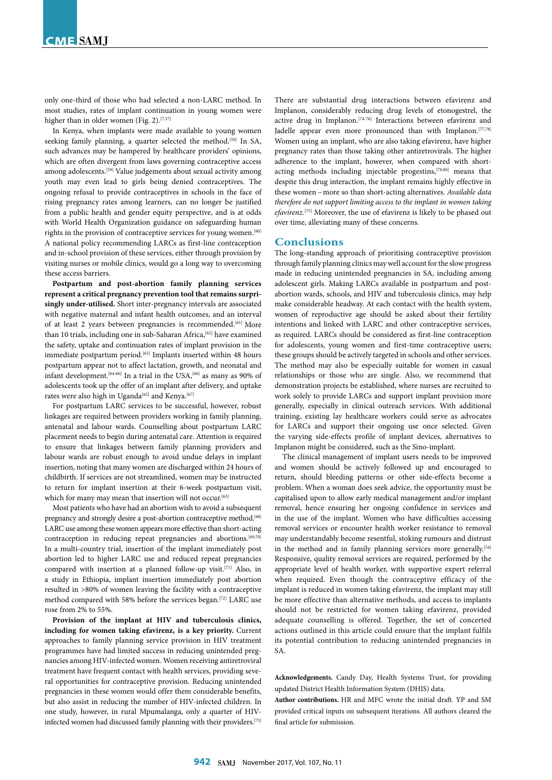only one-third of those who had selected a non-LARC method. In most studies, rates of implant continuation in young women were higher than in older women (Fig. 2).<sup>[7,57]</sup>

In Kenya, when implants were made available to young women seeking family planning, a quarter selected the method.<sup>[58]</sup> In SA, such advances may be hampered by healthcare providers' opinions, which are often divergent from laws governing contraceptive access among adolescents.[59] Value judgements about sexual activity among youth may even lead to girls being denied contraceptives. The ongoing refusal to provide contraceptives in schools in the face of rising pregnancy rates among learners, can no longer be justified from a public health and gender equity perspective, and is at odds with World Health Organization guidance on safeguarding human rights in the provision of contraceptive services for young women.<sup>[60]</sup> A national policy recommending LARCs as first-line contraception and in-school provision of these services, either through provision by visiting nurses or mobile clinics, would go a long way to overcoming these access barriers.

**Postpartum and post-abortion family planning services represent a critical pregnancy prevention tool that remains surprisingly under-utilised.** Short inter-pregnancy intervals are associated with negative maternal and infant health outcomes, and an interval of at least 2 years between pregnancies is recommended.<sup>[61]</sup> More than 10 trials, including one in sub-Saharan Africa,<sup>[62]</sup> have examined the safety, uptake and continuation rates of implant provision in the immediate postpartum period.<sup>[63]</sup> Implants inserted within 48 hours postpartum appear not to affect lactation, growth, and neonatal and infant development.<sup>[64-66]</sup> In a trial in the USA,<sup>[66]</sup> as many as 90% of adolescents took up the offer of an implant after delivery, and uptake rates were also high in Uganda<sup>[62]</sup> and Kenya.<sup>[67]</sup>

For postpartum LARC services to be successful, however, robust linkages are required between providers working in family planning, antenatal and labour wards. Counselling about postpartum LARC placement needs to begin during antenatal care. Attention is required to ensure that linkages between family planning providers and labour wards are robust enough to avoid undue delays in implant insertion, noting that many women are discharged within 24 hours of childbirth. If services are not streamlined, women may be instructed to return for implant insertion at their 6-week postpartum visit, which for many may mean that insertion will not occur.<sup>[63]</sup>

Most patients who have had an abortion wish to avoid a subsequent pregnancy and strongly desire a post-abortion contraceptive method.<sup>[68]</sup> LARC use among these women appears more effective than short-acting contraception in reducing repeat pregnancies and abortions.<sup>[69,70]</sup> In a multi-country trial, insertion of the implant immediately post abortion led to higher LARC use and reduced repeat pregnancies compared with insertion at a planned follow-up visit.[71] Also, in a study in Ethiopia, implant insertion immediately post abortion resulted in >80% of women leaving the facility with a contraceptive method compared with 58% before the services began.<sup>[72]</sup> LARC use rose from 2% to 55%.

**Provision of the implant at HIV and tuberculosis clinics, including for women taking efavirenz, is a key priority.** Current approaches to family planning service provision in HIV treatment programmes have had limited success in reducing unintended pregnancies among HIV-infected women. Women receiving antiretroviral treatment have frequent contact with health services, providing several opportunities for contraceptive provision. Reducing unintended pregnancies in these women would offer them considerable benefits, but also assist in reducing the number of HIV-infected children. In one study, however, in rural Mpumalanga, only a quarter of HIVinfected women had discussed family planning with their providers.[73]

There are substantial drug interactions between efavirenz and Implanon, considerably reducing drug levels of etonogestrel, the active drug in Implanon.[74-76] Interactions between efavirenz and Jadelle appear even more pronounced than with Implanon.<sup>[77,78]</sup> Women using an implant, who are also taking efavirenz, have higher pregnancy rates than those taking other antiretrovirals. The higher adherence to the implant, however, when compared with shortacting methods including injectable progestins,[79,80] means that despite this drug interaction, the implant remains highly effective in these women – more so than short-acting alternatives. *Available data therefore do not support limiting access to the implant in women taking efavirenz.*[75] Moreover, the use of efavirenz is likely to be phased out over time, alleviating many of these concerns.

#### **Conclusions**

The long-standing approach of prioritising contraceptive provision through family planning clinics may well account for the slow progress made in reducing unintended pregnancies in SA, including among adolescent girls. Making LARCs available in postpartum and postabortion wards, schools, and HIV and tuberculosis clinics, may help make considerable headway. At each contact with the health system, women of reproductive age should be asked about their fertility intentions and linked with LARC and other contraceptive services, as required. LARCs should be considered as first-line contraception for adolescents, young women and first-time contraceptive users; these groups should be actively targeted in schools and other services. The method may also be especially suitable for women in casual relationships or those who are single. Also, we recommend that demonstration projects be established, where nurses are recruited to work solely to provide LARCs and support implant provision more generally, especially in clinical outreach services. With additional training, existing lay healthcare workers could serve as advocates for LARCs and support their ongoing use once selected. Given the varying side-effects profile of implant devices, alternatives to Implanon might be considered, such as the Sino-implant.

The clinical management of implant users needs to be improved and women should be actively followed up and encouraged to return, should bleeding patterns or other side-effects become a problem. When a woman does seek advice, the opportunity must be capitalised upon to allow early medical management and/or implant removal, hence ensuring her ongoing confidence in services and in the use of the implant. Women who have difficulties accessing removal services or encounter health worker resistance to removal may understandably become resentful, stoking rumours and distrust in the method and in family planning services more generally.<sup>[54]</sup> Responsive, quality removal services are required, performed by the appropriate level of health worker, with supportive expert referral when required. Even though the contraceptive efficacy of the implant is reduced in women taking efavirenz, the implant may still be more effective than alternative methods, and access to implants should not be restricted for women taking efavirenz, provided adequate counselling is offered. Together, the set of concerted actions outlined in this article could ensure that the implant fulfils its potential contribution to reducing unintended pregnancies in SA.

**Acknowledgements.** Candy Day, Health Systems Trust, for providing updated District Health Information System (DHIS) data.

**Author contributions.** HR and MFC wrote the initial draft. YP and SM provided critical inputs on subsequent iterations. All authors cleared the final article for submission.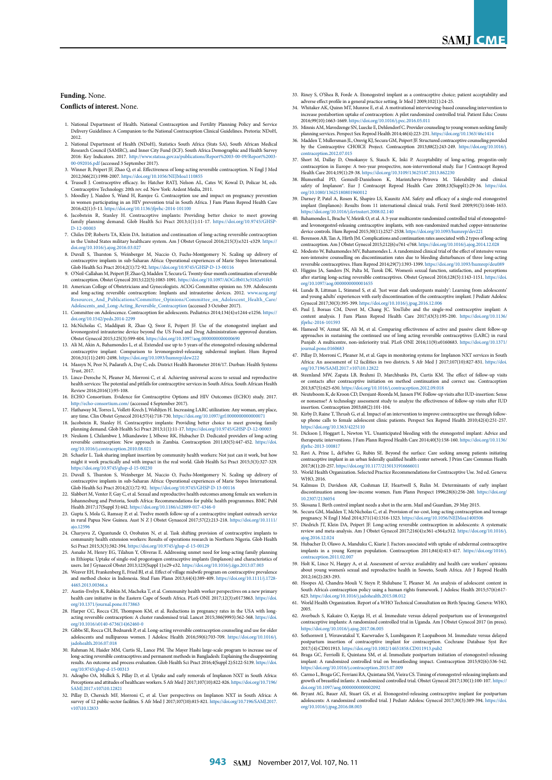#### **Funding.** None.

#### **Conflicts of interest.** None.

- 1. National Department of Health. National Contraception and Fertility Planning Policy and Service Delivery Guidelines: A Companion to the National Contraception Clinical Guidelines. Pretoria: NDoH, 2012.
- 2. National Department of Health (NDoH), Statistics South Africa (Stats SA), South African Medical Research Council (SAMRC), and Inner City Fund (ICF). South Africa Demographic and Health Survey 2016: Key Indicators. 2017. [http://www.statssa.gov.za/publications/Report%2003-00-09/Report%2003-](http://www.statssa.gov.za/publications/Report%2003-00-09/Report%2003-00-092016.pdf) [00-092016.pdf](http://www.statssa.gov.za/publications/Report%2003-00-09/Report%2003-00-092016.pdf) (accessed 3 September 2017).
- 3. Winner B, Peipert JF, Zhao Q, et al. Effectiveness of long-acting reversible contraception. N Engl J Med 2012;366(21):1998-2007. https://doi.org/10.1056/NEJMoa11108
- 4. Trussell J. Contraceptive efficacy. In: Hatcher RATJ, Nelson AL, Cates W, Kowal D, Policar M, eds. Contraceptive Technology. 20th rev. ed. New York: Ardent Media, 2011. 5. Moodley J, Naidoo S, Wand H, Ramjee G. Contraception use and impact on pregnancy prevention
- en participating in an HIV prevention trial in South Africa. J Fam Plann Reprod Health Care 2016;42(1):5-11. <https://doi.org/10.1136/jfprhc-2014-101100>
- 6. Jacobstein R, Stanley H. Contraceptive implants: Providing better choice to meet growing family planning demand. Glob Health Sci Pract 2013;1(1):11-17. https://doi.org/10.9745/GHSP-<br>D-12-00003
- [D-12-00003](https://doi.org/10.9745/GHSP-D--12-00003 ) 7. Chiles DP, Roberts TA, Klein DA. Initiation and continuation of long-acting reversible contraception in the United States military healthcare system. Am J Obstet Gynecol 2016;215(3):e321-e329. [https://](https://doi.org/10.1016/j.ajog.2016.03.027 ) [doi.org/10.1016/j.ajog.2016.03.027](https://doi.org/10.1016/j.ajog.2016.03.027 )
- 8. Duvall S, Thurston S, Weinberger M, Nuccio O, Fuchs-Montgomery N. Scaling up delivery of contraceptive implants in sub-Saharan Africa: Operational experiences of Marie Stopes International. Glob Health Sci Pract 2014;2(1):72-92. [https://doi.org/10.9745/GHSP-D-13-00116](https://doi.org/10.9745/GHSP-D-13-00116 ) 9. O'Neil-Callahan M, Peipert JF, Zhao Q, Madden T, Secura G. Twenty-four-month continuation of reversible
- contraception. Obstet Gynecol 2013;122(5):1083-1091. https://doi.org/10.1097/AOG.0b013e3182a91f45 10. American College of Obstetricians and Gynecologists. ACOG Committee opinion no. 539. Adolescents
- and long-acting reversible contraception: Implants and intrauterine devices. 2012. [www.acog.org/](www.acog.org/Resources_And_Publications/Committee_Opinions/Committee_on_Adolescent_Health_Care/Adolescents_and_Long-Acting_Reversible_Contraception) [Resources\\_And\\_Publications/Committee\\_Opinions/Committee\\_on\\_Adolescent\\_Health\\_Care/](www.acog.org/Resources_And_Publications/Committee_Opinions/Committee_on_Adolescent_Health_Care/Adolescents_and_Long-Acting_Reversible_Contraception) [Adolescents\\_and\\_Long-Acting\\_Reversible\\_Contraception](www.acog.org/Resources_And_Publications/Committee_Opinions/Committee_on_Adolescent_Health_Care/Adolescents_and_Long-Acting_Reversible_Contraception) (accessed 3 October 2017). 11. Committee on Adolescence. Contraception for adolescents. Pediatrics 2014;134(4):e1244-e1256. [https://](https://doi.org/10.1542/peds.2014-2299 )
- [doi.org/10.1542/peds.2014-2299](https://doi.org/10.1542/peds.2014-2299 ) 12. McNicholas C, Maddipati R, Zhao Q, Swor E, Peipert JF. Use of the etonogestrel implant and
- levonorgestrel intrauterine device beyond the US Food and Drug Administration-approved duration. Obstet Gynecol 2015;125(3):599-604. https://doi.org/10.1097/aog.0000000000000690
- 13. Ali M, Akin A, Bahamondes L, et al. Extended use up to 5 years of the etonogestrel-releasing subdermal contraceptive implant: Comparison to levonorgestrel-releasing subdermal implant. Hum Reprod<br>2016;31(11):2491-2498.https://doi.org/10.1093/humrep/dew222<br>14. Massyn N, Peer N, Padarath A, Day C, eds. District Health Baromete
- Trust, 2017.
- 15. Lince-Deroche N, Pleaner M, Morroni C, et al. Achieving universal access to sexual and reproductive health services: The potential and pitfalls for contraceptive services in South Africa. South African Health Review 2016;2016(1):95-108.
- 16. ECHO Consortium. Evidence for Contraceptive Options and HIV Outcomes (ECHO) study. 2017. <http://echo-consortium.com/> (accessed 4 September 2017).
- 17. Hathaway M, Torres L, Vollett-Krech J, Wohltjen H. Increasing LARC utilization: Any woman, any place, any time. Clin Obstet Gynecol 2014;57(4):718-730. https://doi.org/10.1097/grf.0000000000000071
- 18. Jacobstein R, Stanley H. Contraceptive implants: Providing better choice to meet growing family planning demand. Glob Health Sci Pract 2013;1(1):11-17. <https://doi.org/10.9745/GHSP-D-12-00003> 19. Neukom J, Chilambwe J, Mkandawire J, Mbewe RK, Hubacher D. Dedicated providers of long-acting
- reversible contraception: New approach in Zambia. Contraception 2011;83(5):447-452. [https://doi.](https://doi.org/10.1016/j.contraception.2010.08.021 ) [org/10.1016/j.contraception.2010.08.021](https://doi.org/10.1016/j.contraception.2010.08.021 )
- 20. Schaefer L. Task sharing implant insertion by community health workers: Not just can it work, but how the how that it work with the state of the matter of the state of the state of the state of the state of the state o might it work practically and with impact in the real world. Glob Health Sci Pract 2015;3(3):327-329. [https://doi.org/10.9745/ghsp-d-15-00230](https://doi.org/10.9745/ghsp-d-15-00230 )
- 21. Duvall S, Thurston S, Weinberger M, Nuccio O, Fuchs-Montgomery N. Scaling up delivery of contraceptive implants in sub-Saharan Africa: Operational experiences of Marie Stopes International. Glob Health Sci Pract 2014;2(1):72-92. [https://doi.org/10.9745/GHSP-D-13-00116](https://doi.org/10.9745/GHSP-D-13-00116 )
- 22. Slabbert M, Venter F, Gay C, et al. Sexual and reproductive health outcomes among female sex v Johannesburg and Pretoria, South Africa: Recommendations for public health programmes. BMC Publ Health 2017;17(Suppl 3):442. [https://doi.org/10.1186/s12889-017-4346-0](https://doi.org/10.1186/s12889-017-4346-0 )
- 23. Gupta S, Mola G, Ramsay P, et al. Twelve month follow-up of a contraceptive implant outreach service in rural Papua New Guinea. Aust N Z J Obstet Gynaecol 2017;57(2):213-218. [https://doi.org/10.1111/](https://doi.org/10.1111/ajo.12596 ) [ajo.12596](https://doi.org/10.1111/ajo.12596 )
- 24. Charyeva Z, Oguntunde O, Orobaton N, et al. Task shifting provision of contraceptive i community health extension workers: Results of operations research in Northern Nigeria. Glob Health Sci Pract 2015;3(3):382-394. [https://doi.org/10.9745/ghsp-d-15-00129](https://doi.org/10.9745/ghsp-d-15-00129 )
- 25. Asnake M, Henry EG, Tilahun Y, Oliveras E. Addressing unmet need for long-acting family planning in Ethiopia: Uptake of single-rod progestogen contraceptive implants (Implanon) and characteristics of
- users. Int J Gynaecol Obstet 2013;123(Suppl 1):e29-e32. https://doi.org/10.1016/j.ijgo.2013.07.003 26. Weaver EH, Frankenberg E, Fried BJ, et al. Effect of village midwife program on contraceptive prevalence and method choice in Indonesia. Stud Fam Plann 2013;44(4):389-409. [https://doi.org/10.1111/j.1728-](https://doi.org/10.1111/j.1728-4465.2013.00366.x ) [4465.2013.00366.x](https://doi.org/10.1111/j.1728-4465.2013.00366.x )
- 27. Austin-Evelyn K, Rabkin M, Macheka T, et al. Community health worker perspectives on a new primary health care initiative in the Eastern Cape of South Africa. PLoS ONE 2017;12(3):e0173863. [https://doi.](https://doi.org/10.1371/journal.pone.0173863 ) [org/10.1371/journal.pone.0173863](https://doi.org/10.1371/journal.pone.0173863 )
- 28. Harper CC, Rocca CH, Thompson KM, et al. Reductions in pregnancy rates in the USA with longacting reversible contraception: A cluster randomised trial. Lancet 2015;386(9993):562-568. [https://doi.](https://doi.org/10.1016/s0140-6736(14)62460-0 ) [org/10.1016/s0140-6736\(14\)62460-0](https://doi.org/10.1016/s0140-6736(14)62460-0 )
- 29. Gibbs SE, Rocca CH, Bednarek P, et al. Long-acting reversible contraception counseling and use for older adolescents and nulliparous women. J Adolesc Health 2016;59(6):703-709. [https://doi.org/10.1016/j.](https://doi.org/10.1016/j.jadohealth.2016.07.018 ) [jadohealth.2016.07.018](https://doi.org/10.1016/j.jadohealth.2016.07.018 )
- 30. Rahman M, Haider MM, Curtis SL, Lance PM. The Mayer Hashi large-scale program to increase use of long-acting reversible contraceptives and permanent methods in Bangladesh: Explaining the disappointing results. An outcome and process evaluation. Glob Health Sci Pract 2016;4(Suppl 2):S122-S139. [https://doi.](https://doi.org/10.9745/ghsp-d-15-00313 ) [org/10.9745/ghsp-d-15-00313](https://doi.org/10.9745/ghsp-d-15-00313 )
- 31. Adeagbo OA, Mullick S, Pillay D, et al. Uptake and early removals of Implanon NXT in South Africa: Perceptions and attitudes of healthcare workers. S Afr Med J 2017;107(10):822-826. [https://doi.org/10.7196/](https://doi.org/10.7196/SAMJ.2017.v107i10.12821 ) [SAMJ.2017.v107i10.12821](https://doi.org/10.7196/SAMJ.2017.v107i10.12821 )
- 32. Pillay D, Chersich MF, Morroni C, et al. User perspectives on Implanon NXT in South Africa: A survey of 12 public-sector facilities. S Afr Med J 2017;107(10):815-821. [https://doi.org/10.7196/SAMJ.2017.](https://doi.org/10.7196/SAMJ.2017.v107i10.12833 ) [v107i10.12833](https://doi.org/10.7196/SAMJ.2017.v107i10.12833 )
- 33. Riney S, O'Shea B, Forde A. Etonogestrel implant as a contraceptive choice; patient acceptability and adverse effect profile in a general practice setting. Ir Med J 2009;102(1):24-25.
- 34. Whitaker AK, Quinn MT, Munroe E, et al. A motivational interviewing-based counseling intervention to increase postabortion uptake of contraception: A pilot randomized controlled trial. Patient Educ Couns 2016;99(10):1663-1669. https://doi.org/10.1016/j.pec.2016.05.011
- 35. Minnis AM, Mavedzenge SN, Luecke E, Dehlendorf C. Provider counseling to young women seeking family planning services. Perspect Sex Reprod Health 2014;46(4):223-231. https://doi.org/10.1363/46e1414
- 36. Madden T, Mullersman JL, Omvig KJ, Secura GM, Peipert JF. Structured contraceptive counseling pro by the Contraceptive CHOICE Project. Contraception 2013;88(2):243-249. [https://doi.org/10.1016/j.](https://doi.org/10.1016/j.contraception.2012.07.015 ) [contraception.2012.07.015](https://doi.org/10.1016/j.contraception.2012.07.015 )
- 37. Short M, Dallay D, Omokanye S, Stauch K, Inki P. Acceptability of long-acting, progestin-only contraception in Europe: A two-year prospective, non-interventional study. Eur J Contracept Reprod Health Care 2014;19(1):29-38. https://doi.org/10.3109/13625187.2013.862230
- 38. Blumenthal PD, Gemzell-Danielsson K, Marintcheva-Petrova M. Tolerability and clinical safety of Implanon®. Eur J Contracept Reprod Health Care 2008;13(Suppl1):29-36. https://doi org[/10.1080/13625180801960012](https://doi.org/10.1080/13625180801960012)
- 39. Darney P, Patel A, Rosen K, Shapiro LS, Kaunitz AM. Safety and efficacy of a single-rod etonogestrel implant (Implanon): Results from 11 international clinical trials. Fertil Steril 2009;91(5):1646-1653. https://doi.org/10.1016/j.fertnstert.2008.02.140
- 10. Brache V, Meirik O, et al. A 3-year multicentre randomized controlled trial of etonogestreland levonorgestrel-releasing contraceptive implants, with non-randomized matched copper-intrauterine device controls. Hum Reprod 2015;30(11):2527-2538. https://doi.org/10.1093/humrep/dev221
- 41. Berenson AB, Tan A, Hirth JM. Complications and continuation rates associated with 2 types of long-acting contraception. Am J Obstet Gynecol 2015;212(6):e761-e768. https://doi.org/10.1016/j.ajog.2014.12.028
- 42. Modesto W, Bahamondes MV, Bahamondes L. A randomized clinical trial of the effect of intensive versus non-intensive counselling on discontinuation rates due to bleeding disturbances of three long-acting non-intensive counselling on discontinuation rates due to bleeding disturbances of three long-acting
- reversible contraceptives. Hum Reprod 2014;29(7):1393-1399. https://doi.org/10.1093/humrep/deu089 43. Higgins JA, Sanders JN, Palta M, Turok DK. Women's sexual function, satisfaction, and perceptions after starting long-acting reversible contraceptives. Obstet Gynecol 2016;128(5):1143-1151. [https://doi.](https://doi.org/10.1097/aog.0000000000001655 ) [org/10.1097/aog.0000000000001655](https://doi.org/10.1097/aog.0000000000001655 )
- 44. Lunde B, Littman L, Stimmel S, et al. 'Just wear dark underpants mainly': Learning from adolescents' and young adults' experiences with early discontinuation of the contraceptive implant. J Pediatr Adolesc
- Gynecol 2017;30(3):395-399. https://doi.org/10.1016/j.jpag.2016.12.006 45. Paul J, Boraas CM, Duvet M, Chang JC. YouTube and the single-rod contraceptive implant: A content analysis. J Fam Plann Reprod Health Care 2017;43(3):195-200. [https://doi.org/10.1136/](https://doi.org/10.1136/jfprhc-2016-101593 ) fprhc-2016-101593
- 46. Hameed W, Azmat SK, Ali M, et al. Comparing effectiveness of active and passive client follow-up approaches in sustaining the continued use of long acting reversible contraceptives (LARC) in rural Punjab: A multicentre, non-inferiority trial. PLoS ONE 2016;11(9):e0160683. [https://doi.org/10.1371/](https://doi.org/10.1371/journal.pone.0160683 ) ernal.pone.0160683
- 47. Pillay D, Morroni C, Pleaner M, et al. Gaps in monitoring systems for Implanon NXT services in South Africa: An assessment of 12 facilities in two districts. S Afr Med J 2017;107(10):827-831. [https://doi.](https://doi.org/10.7196/SAMJ.2017.v107i10.12822 ) [org/10.7196/SAMJ.2017.v107i10.12822](https://doi.org/10.7196/SAMJ.2017.v107i10.12822 )
- 48. Steenland MW, Zapata LB, Brahmi D, Marchbanks PA, Curtis KM. The effect of follow-up visits or contacts after contraceptive initiation on method continuation and correct use. Contraception 2013;87(5):625-630. https://doi.org/10.1016/j.contraception.2012.09.018
- 49. Neuteboom K, de Kroon CD, Dersjant-Roorda M, Jansen FW. Follow-up visits after IUD-insertion: Sense or nonsense? A technology assessment study to analyze the effectiveness of follow-up visits after IUD
- insertion. Contraception 2003;68(2):101-104. 50. Kirby D, Raine T, Thrush G, et al. Impact of an intervention to improve contraceptive use through followup phone calls to female adolescent clinic patients. Perspect Sex Reprod Health 2010;42(4):251-257. اء<br>s://doi.org/10.1363/4225110
- 51. Dickson J, Hoggart L, Newton VL. Unanticipated bleeding with the etonogestrel implant: Advice and therapeutic interventions. J Fam Plann Reprod Health Care 2014;40(3):158-160. [https://doi.org/10.1136/](https://doi.org/10.1136/jfprhc-2013-100817 )  $, 2013, 100817$
- 52. Ravi A, Prine L, deFiebre G, Rubin SE. Beyond the surface: Care seeking among patients initiating contraceptive implant in an urban federally qualified health center network. J Prim Care Commun Health 2017;8(1):20-257. https://doi.org/10.1177/2150131916666011
- 53. World Health Organization. Selected Practice Recommendations for Contraceptive Use. 3rd ed. Geneva: WHO, 2016.
- 54. Kalmuss D, Davidson AR, Cushman LF, Heartwell S, Rulin M. Determinants of early implant discontinuation among low-income women. Fam Plann Perspect 1996;28(6):256-260. https://doi.org/ [10.2307/2136054](https://doi.org/10.2307/2136054)
- 55. Skosana I. Birth control implant needs a shot in the arm. Mail and Guardian, 29 May 2015.
- 56. Secura GM, Madden T, McNicholas C, et al. Provision of no-cost, long-acting contraception and teenage pregnancy. N Engl J Med 2014;371(14):1316-1323. https://doi.org/10.1056/NEJMoa1400506
- 57. Diedrich JT, Klein DA, Peipert JF. Long-acting reversible contraception in adolescents: A systematic review and meta-analysis. Am J Obstet Gynecol 2017;216(4):e361-e364;e312. [https://doi.org/10.1016/j.](https://doi.org/10.1016/j.ajog.2016.12.024 )  $99.2016.12.024$
- 58. Hubacher D, Olawo A, Manduku C, Kiarie J. Factors associated with uptake of subdermal contraceptive implants in a young Kenyan population. Contraception 2011;84(4):413-417. https://doi.org/1  $ntraception.2011.02.007$
- 59. Holt K, Lince N, Hargey A, et al. Assessment of service availability and health care workers' opinion about young women's sexual and reproductive health in Soweto, South Africa. Afr J Reprod Health 2012;16(2):283-293.
- 60. Hoopes AJ, Chandra-Mouli V, Steyn P, Shilubane T, Pleaner M. An analysis of adolescent content in South Africa's contraception policy using a human rights framework. J Adolesc Health 2015;57(6):617- 623. https://doi.org/10.1016/j.jadohealth.2015.08.012
- 61. World Health Organization. Report of a WHO Technical Consultation on Birth Spacing. Geneva: WHO, 2005.
- 62. Averbach S, Kakaire O, Kayiga H, et al. Immediate versus delayed postpartum use of levonorgestrel contraceptive implants: A randomized controlled trial in Uganda. Am J Obstet Gynecol 2017 (in press). https://doi.org/10.1016/j.ajog.2017.06.005
- 63. Sothornwit J, Werawatakul Y, Kaewrudee S, Lumbiganon P, Laopaiboon M. Immediate versus delayed postpartum insertion of contraceptive implant for contraception. Cochrane Database Syst Rev 2017;(4):CD011913. https://doi.org/10.1002/14651858.CD011913.pub2
- 64. Braga GC, Ferriolli E, Quintana SM, et al. Immediate postpartum initiation of eton implant: A randomized controlled trial on breastfeeding impact. Contraception 2015;92(6):536-542. https://doi.org/10.1016/j.contraception.2015.07.009
- 65. Carmo L, Braga GC, Ferriani RA, Quintana SM, Vieira CS. Timing of etonogestrel-releasing implants and growth of breastfed infants: A randomized controlled trial. Obstet Gynecol 2017;130(1):100-107. [https://](https://doi.org/10.1097/aog.0000000000002092 ) [doi.org/10.1097/aog.0000000000002092](https://doi.org/10.1097/aog.0000000000002092 )
- 66. Bryant AG, Bauer AE, Stuart GS, et al. Etonogestrel-releasing contraceptive implant for postpartum adolescents: A randomized controlled trial. J Pediatr Adolesc Gynecol 2017;30(3):389-394. [https://doi.](https://doi.org/10.1016/j.jpag.2016.08.003 ) [org/10.1016/j.jpag.2016.08.003](https://doi.org/10.1016/j.jpag.2016.08.003 )